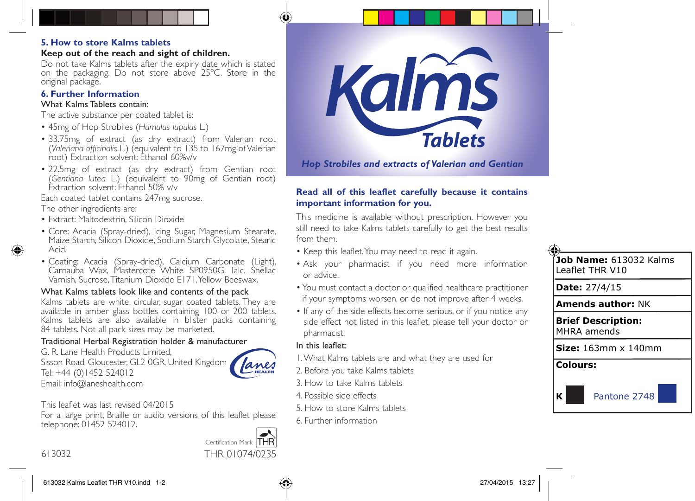#### **5. How to store Kalms tablets**

#### **Keep out of the reach and sight of children.**

Do not take Kalms tablets after the expiry date which is stated on the packaging. Do not store above 25ºC. Store in the original package.

### **6. Further Information**

#### What Kalms Tablets contain:

The active substance per coated tablet is:

- 45mg of Hop Strobiles (*Humulus lupulus* L.)
- 33.75mg of extract (as dry extract) from Valerian root (*Valeriana officinalis* L.) (equivalent to 135 to 167mg of Valerian root) Extraction solvent: Ethanol 60%v/v
- 22.5mg of extract (as dry extract) from Gentian root (*Gentiana lutea* L.) (equivalent to 90mg of Gentian root) Extraction solvent: Ethanol 50% v/v

Each coated tablet contains 247mg sucrose.

The other ingredients are:

- Extract: Maltodextrin, Silicon Dioxide
- Core: Acacia (Spray-dried), Icing Sugar, Magnesium Stearate, Maize Starch, Silicon Dioxide, Sodium Starch Glycolate, Stearic Acid.
- Coating: Acacia (Spray-dried), Calcium Carbonate (Light), Carnauba Wax, Mastercote White SP0950G, Talc, Shellac Varnish, Sucrose, Titanium Dioxide E171, Yellow Beeswax.

# What Kalms tablets look like and contents of the pack

Kalms tablets are white, circular, sugar coated tablets. They are available in amber glass bottles containing 100 or 200 tablets. Kalms tablets are also available in blister packs containing 84 tablets. Not all pack sizes may be marketed.

# Traditional Herbal Registration holder & manufacturer

G. R. Lane Health Products Limited, Sisson Road, Gloucester, GL2 0GR, United Kingdom Tel: +44 (0)1452 524012 Email: info@laneshealth.com



This leaflet was last revised 04/2015

For a large print, Braille or audio versions of this leaflet please telephone: 01452 524012.





*Hop Strobiles and extracts of Valerian and Gentian*

### **Read all of this leaflet carefully because it contains important information for you.**

This medicine is available without prescription. However you still need to take Kalms tablets carefully to get the best results from them.

- Keep this leaflet. You may need to read it again.
- Ask your pharmacist if you need more information or advice.
- You must contact a doctor or qualified healthcare practitioner if your symptoms worsen, or do not improve after 4 weeks.
- If any of the side effects become serious, or if you notice any side effect not listed in this leaflet, please tell your doctor or pharmacist.

### In this leaflet:

- 1. What Kalms tablets are and what they are used for
- 2. Before you take Kalms tablets
- 3. How to take Kalms tablets
- 4. Possible side effects
- 5. How to store Kalms tablets
- 6. Further information